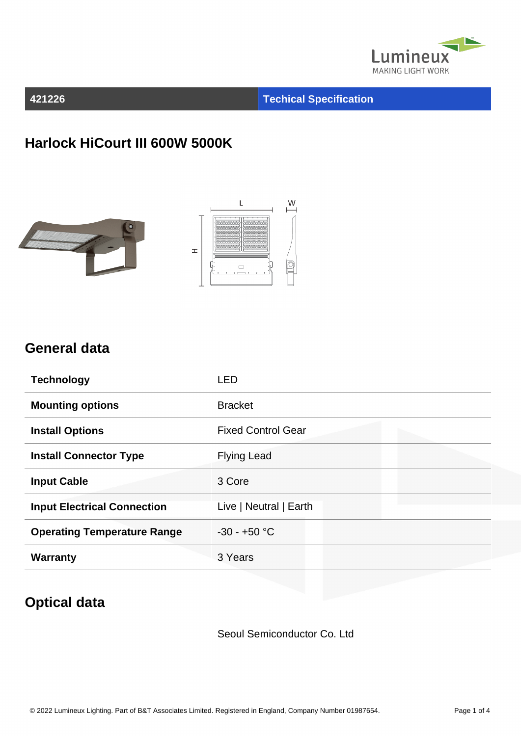

#### **421226 Techical Specification**

#### **Harlock HiCourt III 600W 5000K**





#### **General data**

| <b>Technology</b>                  | <b>LED</b>                |
|------------------------------------|---------------------------|
| <b>Mounting options</b>            | <b>Bracket</b>            |
| <b>Install Options</b>             | <b>Fixed Control Gear</b> |
| <b>Install Connector Type</b>      | <b>Flying Lead</b>        |
| <b>Input Cable</b>                 | 3 Core                    |
| <b>Input Electrical Connection</b> | Live   Neutral   Earth    |
| <b>Operating Temperature Range</b> | $-30 - +50$ °C            |
| <b>Warranty</b>                    | 3 Years                   |

### **Optical data**

Seoul Semiconductor Co. Ltd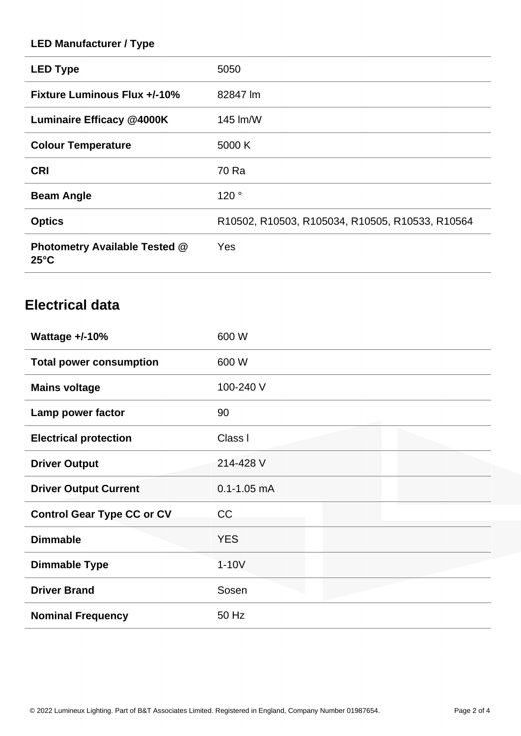#### **LED Manufacturer / Type**

| <b>LED Type</b>                                        | 5050                                            |
|--------------------------------------------------------|-------------------------------------------------|
| <b>Fixture Luminous Flux +/-10%</b>                    | 82847 lm                                        |
| Luminaire Efficacy @4000K                              | 145 lm/W                                        |
| <b>Colour Temperature</b>                              | 5000 K                                          |
| <b>CRI</b>                                             | 70 Ra                                           |
| <b>Beam Angle</b>                                      | 120°                                            |
| <b>Optics</b>                                          | R10502, R10503, R105034, R10505, R10533, R10564 |
| <b>Photometry Available Tested @</b><br>$25^{\circ}$ C | Yes                                             |

### **Electrical data**

| Wattage $+/-10%$                  | 600 W           |
|-----------------------------------|-----------------|
| <b>Total power consumption</b>    | 600 W           |
| <b>Mains voltage</b>              | 100-240 V       |
| Lamp power factor                 | 90              |
| <b>Electrical protection</b>      | Class I         |
| <b>Driver Output</b>              | 214-428 V       |
| <b>Driver Output Current</b>      | $0.1 - 1.05$ mA |
| <b>Control Gear Type CC or CV</b> | CC              |
| <b>Dimmable</b>                   | <b>YES</b>      |
| <b>Dimmable Type</b>              | $1-10V$         |
| <b>Driver Brand</b>               | Sosen           |
| <b>Nominal Frequency</b>          | 50 Hz           |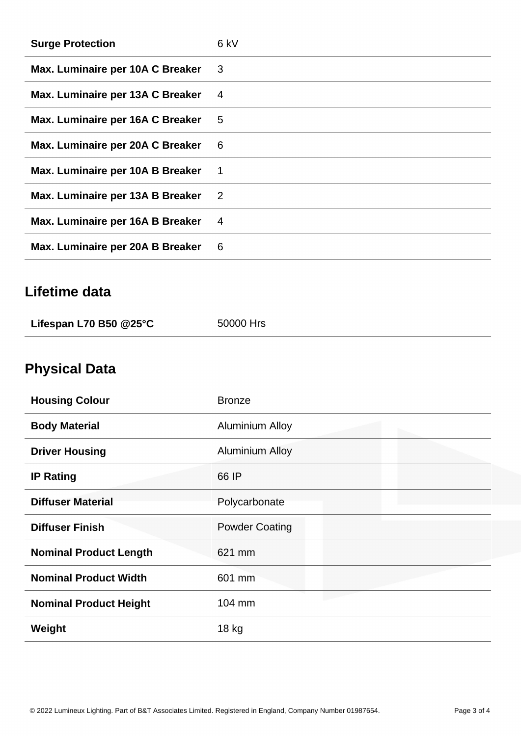| <b>Surge Protection</b>          | 6 kV                       |
|----------------------------------|----------------------------|
| Max. Luminaire per 10A C Breaker | 3 <sup>3</sup>             |
| Max. Luminaire per 13A C Breaker | 4                          |
| Max. Luminaire per 16A C Breaker | 5                          |
| Max. Luminaire per 20A C Breaker | 6                          |
| Max. Luminaire per 10A B Breaker | $\overline{1}$             |
| Max. Luminaire per 13A B Breaker | $\overline{\phantom{0}}^2$ |
| Max. Luminaire per 16A B Breaker | 4                          |
| Max. Luminaire per 20A B Breaker | 6                          |

## **Lifetime data**

| Lifespan L70 B50 $@25^\circ \text{C}$ | 50000 Hrs |
|---------------------------------------|-----------|
|                                       |           |

# **Physical Data**

| <b>Housing Colour</b>         | <b>Bronze</b>          |
|-------------------------------|------------------------|
| <b>Body Material</b>          | <b>Aluminium Alloy</b> |
| <b>Driver Housing</b>         | <b>Aluminium Alloy</b> |
| <b>IP Rating</b>              | 66 IP                  |
| <b>Diffuser Material</b>      | Polycarbonate          |
| <b>Diffuser Finish</b>        | <b>Powder Coating</b>  |
| <b>Nominal Product Length</b> | 621 mm                 |
| <b>Nominal Product Width</b>  | 601 mm                 |
| <b>Nominal Product Height</b> | 104 mm                 |
| Weight                        | 18 kg                  |